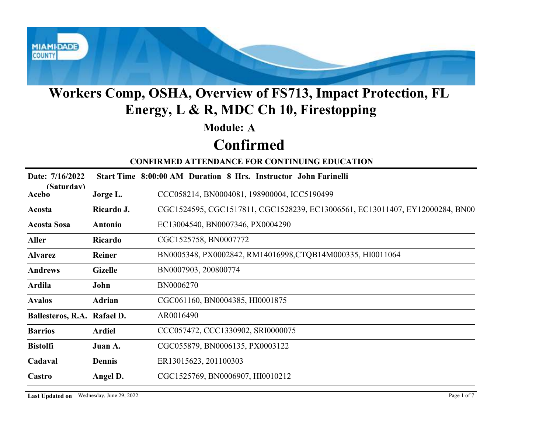

#### Module: A

## Confirmed

| <b>Module: A</b><br><b>Confirmed</b><br><b>CONFIRMED ATTENDANCE FOR CONTINUING EDUCATION</b><br>Date: 7/16/2022<br>Start Time 8:00:00 AM Duration 8 Hrs. Instructor John Farinelli<br>(Saturdav)<br>CCC058214, BN0004081, 198900004, ICC5190499<br>Acebo<br>Jorge L.<br>Ricardo J.<br>Acosta<br>EC13004540, BN0007346, PX0004290<br><b>Acosta Sosa</b><br><b>Antonio</b><br>CGC1525758, BN0007772<br><b>Aller</b><br>Ricardo<br>BN0005348, PX0002842, RM14016998, CTQB14M000335, HI0011064<br><b>Alvarez</b><br>Reiner<br>BN0007903, 200800774<br><b>Andrews</b><br><b>Gizelle</b><br>BN0006270<br>Ardila<br>John<br>CGC061160, BN0004385, HI0001875<br><b>Avalos</b><br>Adrian<br>AR0016490<br>Ballesteros, R.A. Rafael D.<br>CCC057472, CCC1330902, SRI0000075<br><b>Ardiel</b><br><b>Barrios</b><br>CGC055879, BN0006135, PX0003122<br><b>Bistolfi</b><br>Juan A.<br>ER13015623, 201100303<br>Cadaval<br>Dennis<br>Castro<br>CGC1525769, BN0006907, HI0010212<br>Angel D. |  | <b>Workers Comp, OSHA, Overview of FS713, Impact Protection, FL</b><br>Energy, L & R, MDC Ch 10, Firestopping |
|------------------------------------------------------------------------------------------------------------------------------------------------------------------------------------------------------------------------------------------------------------------------------------------------------------------------------------------------------------------------------------------------------------------------------------------------------------------------------------------------------------------------------------------------------------------------------------------------------------------------------------------------------------------------------------------------------------------------------------------------------------------------------------------------------------------------------------------------------------------------------------------------------------------------------------------------------------------------------|--|---------------------------------------------------------------------------------------------------------------|
|                                                                                                                                                                                                                                                                                                                                                                                                                                                                                                                                                                                                                                                                                                                                                                                                                                                                                                                                                                              |  |                                                                                                               |
|                                                                                                                                                                                                                                                                                                                                                                                                                                                                                                                                                                                                                                                                                                                                                                                                                                                                                                                                                                              |  |                                                                                                               |
|                                                                                                                                                                                                                                                                                                                                                                                                                                                                                                                                                                                                                                                                                                                                                                                                                                                                                                                                                                              |  |                                                                                                               |
|                                                                                                                                                                                                                                                                                                                                                                                                                                                                                                                                                                                                                                                                                                                                                                                                                                                                                                                                                                              |  |                                                                                                               |
|                                                                                                                                                                                                                                                                                                                                                                                                                                                                                                                                                                                                                                                                                                                                                                                                                                                                                                                                                                              |  |                                                                                                               |
|                                                                                                                                                                                                                                                                                                                                                                                                                                                                                                                                                                                                                                                                                                                                                                                                                                                                                                                                                                              |  | CGC1524595, CGC1517811, CGC1528239, EC13006561, EC13011407, EY12000284, BN00                                  |
|                                                                                                                                                                                                                                                                                                                                                                                                                                                                                                                                                                                                                                                                                                                                                                                                                                                                                                                                                                              |  |                                                                                                               |
|                                                                                                                                                                                                                                                                                                                                                                                                                                                                                                                                                                                                                                                                                                                                                                                                                                                                                                                                                                              |  |                                                                                                               |
|                                                                                                                                                                                                                                                                                                                                                                                                                                                                                                                                                                                                                                                                                                                                                                                                                                                                                                                                                                              |  |                                                                                                               |
|                                                                                                                                                                                                                                                                                                                                                                                                                                                                                                                                                                                                                                                                                                                                                                                                                                                                                                                                                                              |  |                                                                                                               |
|                                                                                                                                                                                                                                                                                                                                                                                                                                                                                                                                                                                                                                                                                                                                                                                                                                                                                                                                                                              |  |                                                                                                               |
|                                                                                                                                                                                                                                                                                                                                                                                                                                                                                                                                                                                                                                                                                                                                                                                                                                                                                                                                                                              |  |                                                                                                               |
|                                                                                                                                                                                                                                                                                                                                                                                                                                                                                                                                                                                                                                                                                                                                                                                                                                                                                                                                                                              |  |                                                                                                               |
|                                                                                                                                                                                                                                                                                                                                                                                                                                                                                                                                                                                                                                                                                                                                                                                                                                                                                                                                                                              |  |                                                                                                               |
|                                                                                                                                                                                                                                                                                                                                                                                                                                                                                                                                                                                                                                                                                                                                                                                                                                                                                                                                                                              |  |                                                                                                               |
|                                                                                                                                                                                                                                                                                                                                                                                                                                                                                                                                                                                                                                                                                                                                                                                                                                                                                                                                                                              |  |                                                                                                               |
|                                                                                                                                                                                                                                                                                                                                                                                                                                                                                                                                                                                                                                                                                                                                                                                                                                                                                                                                                                              |  |                                                                                                               |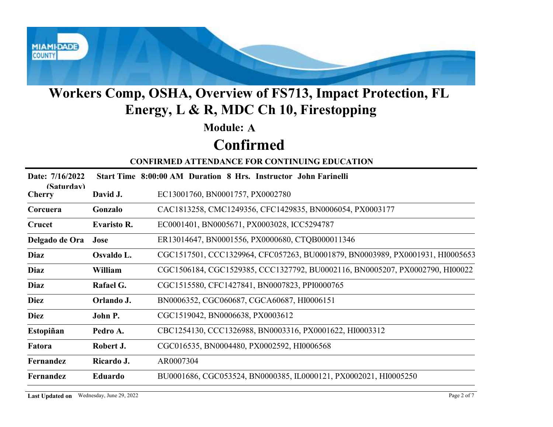

#### Module: A

## Confirmed

|                             |                                          | Workers Comp, OSHA, Overview of FS713, Impact Protection, FL<br>Energy, L & R, MDC Ch 10, Firestopping |
|-----------------------------|------------------------------------------|--------------------------------------------------------------------------------------------------------|
|                             |                                          | <b>Module: A</b>                                                                                       |
|                             |                                          | <b>Confirmed</b>                                                                                       |
|                             |                                          | <b>CONFIRMED ATTENDANCE FOR CONTINUING EDUCATION</b>                                                   |
| Date: 7/16/2022             |                                          | Start Time 8:00:00 AM Duration 8 Hrs. Instructor John Farinelli                                        |
| (Saturdav)<br><b>Cherry</b> | David J.                                 | EC13001760, BN0001757, PX0002780                                                                       |
| Corcuera                    | Gonzalo                                  | CAC1813258, CMC1249356, CFC1429835, BN0006054, PX0003177                                               |
| Crucet                      | <b>Evaristo R.</b>                       | EC0001401, BN0005671, PX0003028, ICC5294787                                                            |
| Delgado de Ora              | Jose                                     | ER13014647, BN0001556, PX0000680, CTQB000011346                                                        |
| <b>Diaz</b>                 | Osvaldo L.                               | CGC1517501, CCC1329964, CFC057263, BU0001879, BN0003989, PX0001931, HI0005653                          |
| <b>Diaz</b>                 | William                                  | CGC1506184, CGC1529385, CCC1327792, BU0002116, BN0005207, PX0002790, HI00022                           |
| <b>Diaz</b>                 | Rafael G.                                | CGC1515580, CFC1427841, BN0007823, PPI0000765                                                          |
| <b>Diez</b>                 | Orlando J.                               | BN0006352, CGC060687, CGCA60687, HI0006151                                                             |
| <b>Diez</b>                 | John P.                                  | CGC1519042, BN0006638, PX0003612                                                                       |
| Estopiñan                   | Pedro A.                                 | CBC1254130, CCC1326988, BN0003316, PX0001622, HI0003312                                                |
| Fatora                      | Robert J.                                | CGC016535, BN0004480, PX0002592, HI0006568                                                             |
| Fernandez                   | Ricardo J.                               | AR0007304                                                                                              |
| Fernandez                   | Eduardo                                  | BU0001686, CGC053524, BN0000385, IL0000121, PX0002021, HI0005250                                       |
|                             | Last Updated on Wednesday, June 29, 2022 | Page 2 of 7                                                                                            |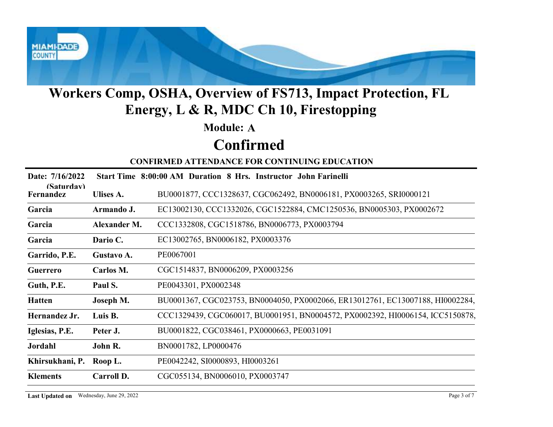

#### Module: A

## Confirmed

|                         |                                          | Workers Comp, OSHA, Overview of FS713, Impact Protection, FL<br>Energy, L & R, MDC Ch 10, Firestopping |
|-------------------------|------------------------------------------|--------------------------------------------------------------------------------------------------------|
|                         |                                          | <b>Module: A</b>                                                                                       |
|                         |                                          | <b>Confirmed</b>                                                                                       |
|                         |                                          | <b>CONFIRMED ATTENDANCE FOR CONTINUING EDUCATION</b>                                                   |
| Date: 7/16/2022         |                                          | Start Time 8:00:00 AM Duration 8 Hrs. Instructor John Farinelli                                        |
| (Saturdav)<br>Fernandez | Ulises A.                                | BU0001877, CCC1328637, CGC062492, BN0006181, PX0003265, SRI0000121                                     |
| Garcia                  | Armando J.                               | EC13002130, CCC1332026, CGC1522884, CMC1250536, BN0005303, PX0002672                                   |
| Garcia                  | Alexander M.                             | CCC1332808, CGC1518786, BN0006773, PX0003794                                                           |
| Garcia                  | Dario C.                                 | EC13002765, BN0006182, PX0003376                                                                       |
| Garrido, P.E.           | Gustavo A.                               | PE0067001                                                                                              |
| Guerrero                | Carlos M.                                | CGC1514837, BN0006209, PX0003256                                                                       |
| Guth, P.E.              | Paul S.                                  | PE0043301, PX0002348                                                                                   |
| <b>Hatten</b>           | Joseph M.                                | BU0001367, CGC023753, BN0004050, PX0002066, ER13012761, EC13007188, HI0002284,                         |
| Hernandez Jr.           | Luis B.                                  | CCC1329439, CGC060017, BU0001951, BN0004572, PX0002392, HI0006154, ICC5150878,                         |
| Iglesias, P.E.          | Peter J.                                 | BU0001822, CGC038461, PX0000663, PE0031091                                                             |
| Jordahl                 | John R.                                  | BN0001782, LP0000476                                                                                   |
| Khirsukhani, P.         | Roop L.                                  | PE0042242, SI0000893, HI0003261                                                                        |
| <b>Klements</b>         | Carroll D.                               | CGC055134, BN0006010, PX0003747                                                                        |
|                         | Last Updated on Wednesday, June 29, 2022 | Page 3 of 7                                                                                            |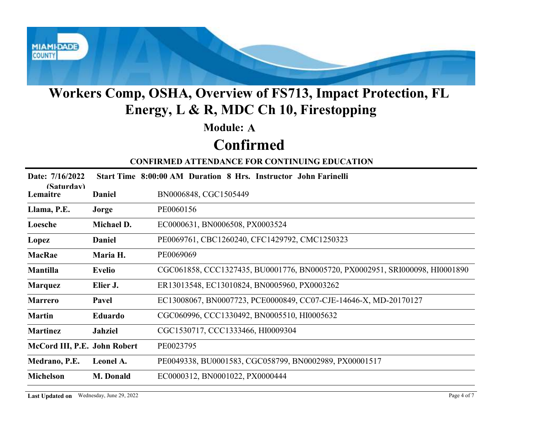

## Confirmed

|                                          |                | Workers Comp, OSHA, Overview of FS713, Impact Protection, FL<br>Energy, L & R, MDC Ch 10, Firestopping |
|------------------------------------------|----------------|--------------------------------------------------------------------------------------------------------|
|                                          |                | <b>Module: A</b>                                                                                       |
|                                          |                | <b>Confirmed</b>                                                                                       |
|                                          |                | <b>CONFIRMED ATTENDANCE FOR CONTINUING EDUCATION</b>                                                   |
| Date: 7/16/2022                          |                | Start Time 8:00:00 AM Duration 8 Hrs. Instructor John Farinelli                                        |
| (Saturdav)<br>Lemaitre                   | Daniel         | BN0006848, CGC1505449                                                                                  |
| Llama, P.E.                              | Jorge          | PE0060156                                                                                              |
| Loesche                                  | Michael D.     | EC0000631, BN0006508, PX0003524                                                                        |
| Lopez                                    | <b>Daniel</b>  | PE0069761, CBC1260240, CFC1429792, CMC1250323                                                          |
| MacRae                                   | Maria H.       | PE0069069                                                                                              |
| <b>Mantilla</b>                          | <b>Evelio</b>  | CGC061858, CCC1327435, BU0001776, BN0005720, PX0002951, SRI000098, HI0001890                           |
| <b>Marquez</b>                           | Elier J.       | ER13013548, EC13010824, BN0005960, PX0003262                                                           |
| <b>Marrero</b>                           | Pavel          | EC13008067, BN0007723, PCE0000849, CC07-CJE-14646-X, MD-20170127                                       |
| <b>Martin</b>                            | Eduardo        | CGC060996, CCC1330492, BN0005510, HI0005632                                                            |
| <b>Martinez</b>                          | <b>Jahziel</b> | CGC1530717, CCC1333466, HI0009304                                                                      |
| McCord III, P.E. John Robert             |                | PE0023795                                                                                              |
| Medrano, P.E.                            | Leonel A.      | PE0049338, BU0001583, CGC058799, BN0002989, PX00001517                                                 |
| <b>Michelson</b>                         | M. Donald      | EC0000312, BN0001022, PX0000444                                                                        |
| Last Updated on Wednesday, June 29, 2022 |                | Page 4 of 7                                                                                            |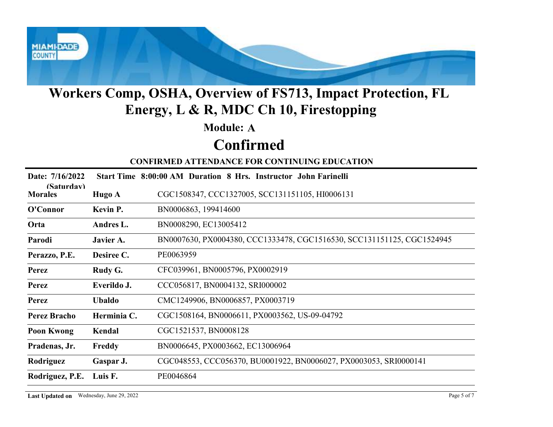

#### Module: A

# Confirmed

| <b>Module: A</b><br><b>Confirmed</b><br><b>CONFIRMED ATTENDANCE FOR CONTINUING EDUCATION</b><br>Date: 7/16/2022<br>Start Time 8:00:00 AM Duration 8 Hrs. Instructor John Farinelli<br>(Saturdav)<br>CGC1508347, CCC1327005, SCC131151105, HI0006131<br><b>Morales</b><br>Hugo A<br>BN0006863, 199414600<br>O'Connor<br>Kevin P.<br>BN0008290, EC13005412<br>Orta<br>Andres L.<br>BN0007630, PX0004380, CCC1333478, CGC1516530, SCC131151125, CGC1524945<br>Parodi<br>Javier A.<br>Desiree C.<br>PE0063959<br>Perazzo, P.E.<br>CFC039961, BN0005796, PX0002919<br>Rudy G.<br><b>Perez</b><br>CCC056817, BN0004132, SRI000002<br>Everildo J.<br><b>Perez</b><br>CMC1249906, BN0006857, PX0003719<br><b>Ubaldo</b><br><b>Perez</b><br>Herminia C.<br>CGC1508164, BN0006611, PX0003562, US-09-04792<br><b>Perez Bracho</b><br>CGC1521537, BN0008128<br>Kendal<br><b>Poon Kwong</b><br>Freddy<br>BN0006645, PX0003662, EC13006964<br>Pradenas, Jr.<br>CGC048553, CCC056370, BU0001922, BN0006027, PX0003053, SRI0000141<br>Rodriguez<br>Gaspar J.<br>Rodriguez, P.E.<br>Luis F.<br>PE0046864 |  | <b>Workers Comp, OSHA, Overview of FS713, Impact Protection, FL</b><br>Energy, L & R, MDC Ch 10, Firestopping |
|-----------------------------------------------------------------------------------------------------------------------------------------------------------------------------------------------------------------------------------------------------------------------------------------------------------------------------------------------------------------------------------------------------------------------------------------------------------------------------------------------------------------------------------------------------------------------------------------------------------------------------------------------------------------------------------------------------------------------------------------------------------------------------------------------------------------------------------------------------------------------------------------------------------------------------------------------------------------------------------------------------------------------------------------------------------------------------------------|--|---------------------------------------------------------------------------------------------------------------|
|                                                                                                                                                                                                                                                                                                                                                                                                                                                                                                                                                                                                                                                                                                                                                                                                                                                                                                                                                                                                                                                                                         |  |                                                                                                               |
|                                                                                                                                                                                                                                                                                                                                                                                                                                                                                                                                                                                                                                                                                                                                                                                                                                                                                                                                                                                                                                                                                         |  |                                                                                                               |
|                                                                                                                                                                                                                                                                                                                                                                                                                                                                                                                                                                                                                                                                                                                                                                                                                                                                                                                                                                                                                                                                                         |  |                                                                                                               |
|                                                                                                                                                                                                                                                                                                                                                                                                                                                                                                                                                                                                                                                                                                                                                                                                                                                                                                                                                                                                                                                                                         |  |                                                                                                               |
|                                                                                                                                                                                                                                                                                                                                                                                                                                                                                                                                                                                                                                                                                                                                                                                                                                                                                                                                                                                                                                                                                         |  |                                                                                                               |
|                                                                                                                                                                                                                                                                                                                                                                                                                                                                                                                                                                                                                                                                                                                                                                                                                                                                                                                                                                                                                                                                                         |  |                                                                                                               |
|                                                                                                                                                                                                                                                                                                                                                                                                                                                                                                                                                                                                                                                                                                                                                                                                                                                                                                                                                                                                                                                                                         |  |                                                                                                               |
|                                                                                                                                                                                                                                                                                                                                                                                                                                                                                                                                                                                                                                                                                                                                                                                                                                                                                                                                                                                                                                                                                         |  |                                                                                                               |
|                                                                                                                                                                                                                                                                                                                                                                                                                                                                                                                                                                                                                                                                                                                                                                                                                                                                                                                                                                                                                                                                                         |  |                                                                                                               |
|                                                                                                                                                                                                                                                                                                                                                                                                                                                                                                                                                                                                                                                                                                                                                                                                                                                                                                                                                                                                                                                                                         |  |                                                                                                               |
|                                                                                                                                                                                                                                                                                                                                                                                                                                                                                                                                                                                                                                                                                                                                                                                                                                                                                                                                                                                                                                                                                         |  |                                                                                                               |
|                                                                                                                                                                                                                                                                                                                                                                                                                                                                                                                                                                                                                                                                                                                                                                                                                                                                                                                                                                                                                                                                                         |  |                                                                                                               |
|                                                                                                                                                                                                                                                                                                                                                                                                                                                                                                                                                                                                                                                                                                                                                                                                                                                                                                                                                                                                                                                                                         |  |                                                                                                               |
|                                                                                                                                                                                                                                                                                                                                                                                                                                                                                                                                                                                                                                                                                                                                                                                                                                                                                                                                                                                                                                                                                         |  |                                                                                                               |
|                                                                                                                                                                                                                                                                                                                                                                                                                                                                                                                                                                                                                                                                                                                                                                                                                                                                                                                                                                                                                                                                                         |  |                                                                                                               |
|                                                                                                                                                                                                                                                                                                                                                                                                                                                                                                                                                                                                                                                                                                                                                                                                                                                                                                                                                                                                                                                                                         |  |                                                                                                               |
|                                                                                                                                                                                                                                                                                                                                                                                                                                                                                                                                                                                                                                                                                                                                                                                                                                                                                                                                                                                                                                                                                         |  |                                                                                                               |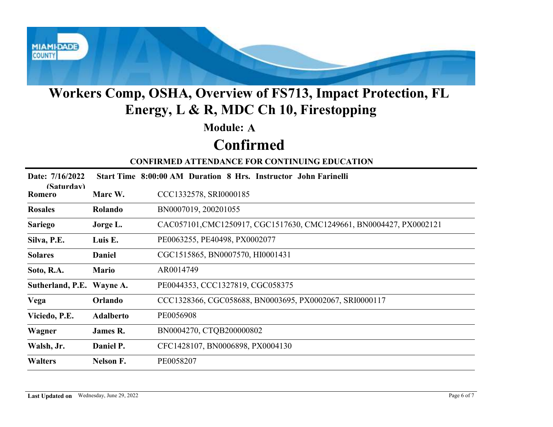

#### Module: A

## Confirmed

|                           |                  | <b>Workers Comp, OSHA, Overview of FS713, Impact Protection, FL</b><br>Energy, L & R, MDC Ch 10, Firestopping |
|---------------------------|------------------|---------------------------------------------------------------------------------------------------------------|
|                           |                  | <b>Module: A</b>                                                                                              |
|                           |                  | <b>Confirmed</b>                                                                                              |
|                           |                  | <b>CONFIRMED ATTENDANCE FOR CONTINUING EDUCATION</b>                                                          |
| Date: 7/16/2022           |                  | Start Time 8:00:00 AM Duration 8 Hrs. Instructor John Farinelli                                               |
| (Saturdav)<br>Romero      | Marc W.          | CCC1332578, SRI0000185                                                                                        |
| <b>Rosales</b>            | Rolando          | BN0007019, 200201055                                                                                          |
| <b>Sariego</b>            | Jorge L.         | CAC057101,CMC1250917, CGC1517630, CMC1249661, BN0004427, PX0002121                                            |
| Silva, P.E.               | Luis E.          | PE0063255, PE40498, PX0002077                                                                                 |
| <b>Solares</b>            | <b>Daniel</b>    | CGC1515865, BN0007570, HI0001431                                                                              |
| Soto, R.A.                | <b>Mario</b>     | AR0014749                                                                                                     |
| Sutherland, P.E. Wayne A. |                  | PE0044353, CCC1327819, CGC058375                                                                              |
| Vega                      | Orlando          | CCC1328366, CGC058688, BN0003695, PX0002067, SRI0000117                                                       |
| Viciedo, P.E.             | <b>Adalberto</b> | PE0056908                                                                                                     |
| Wagner                    | James R.         | BN0004270, CTQB200000802                                                                                      |
| Walsh, Jr.                | Daniel P.        | CFC1428107, BN0006898, PX0004130                                                                              |
| <b>Walters</b>            | <b>Nelson F.</b> | PE0058207                                                                                                     |